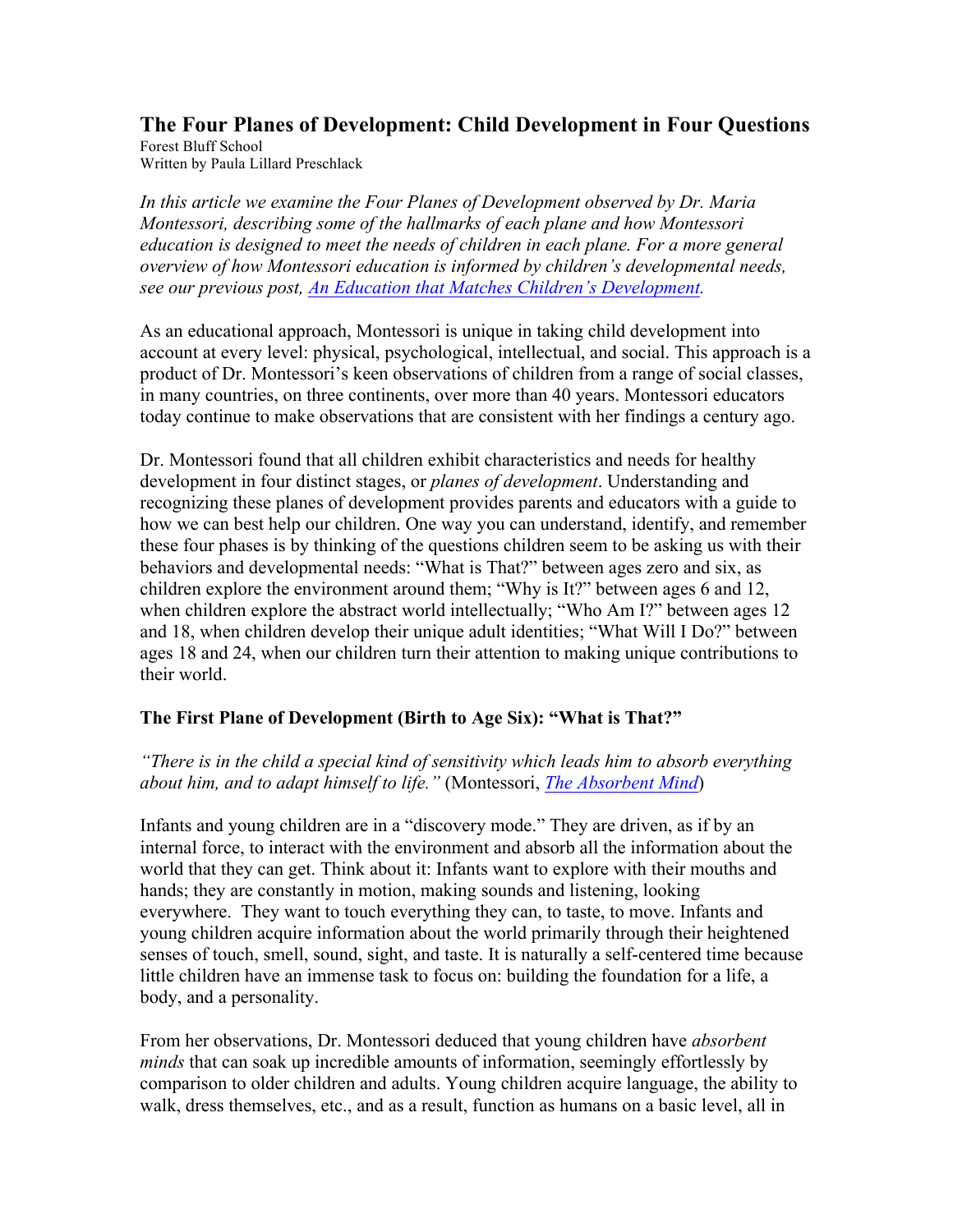# **The Four Planes of Development: Child Development in Four Questions**

Forest Bluff School Written by Paula Lillard Preschlack

*In this article we examine the Four Planes of Development observed by Dr. Maria Montessori, describing some of the hallmarks of each plane and how Montessori education is designed to meet the needs of children in each plane. For a more general overview of how Montessori education is informed by children's developmental needs, see our previous post, An Education that Matches Children's Development.*

As an educational approach, Montessori is unique in taking child development into account at every level: physical, psychological, intellectual, and social. This approach is a product of Dr. Montessori's keen observations of children from a range of social classes, in many countries, on three continents, over more than 40 years. Montessori educators today continue to make observations that are consistent with her findings a century ago.

Dr. Montessori found that all children exhibit characteristics and needs for healthy development in four distinct stages, or *planes of development*. Understanding and recognizing these planes of development provides parents and educators with a guide to how we can best help our children. One way you can understand, identify, and remember these four phases is by thinking of the questions children seem to be asking us with their behaviors and developmental needs: "What is That?" between ages zero and six, as children explore the environment around them; "Why is It?" between ages 6 and 12, when children explore the abstract world intellectually; "Who Am I?" between ages 12 and 18, when children develop their unique adult identities; "What Will I Do?" between ages 18 and 24, when our children turn their attention to making unique contributions to their world.

## **The First Plane of Development (Birth to Age Six): "What is That?"**

*"There is in the child a special kind of sensitivity which leads him to absorb everything about him, and to adapt himself to life."* (Montessori, *The Absorbent Mind*)

Infants and young children are in a "discovery mode." They are driven, as if by an internal force, to interact with the environment and absorb all the information about the world that they can get. Think about it: Infants want to explore with their mouths and hands; they are constantly in motion, making sounds and listening, looking everywhere. They want to touch everything they can, to taste, to move. Infants and young children acquire information about the world primarily through their heightened senses of touch, smell, sound, sight, and taste. It is naturally a self-centered time because little children have an immense task to focus on: building the foundation for a life, a body, and a personality.

From her observations, Dr. Montessori deduced that young children have *absorbent minds* that can soak up incredible amounts of information, seemingly effortlessly by comparison to older children and adults. Young children acquire language, the ability to walk, dress themselves, etc., and as a result, function as humans on a basic level, all in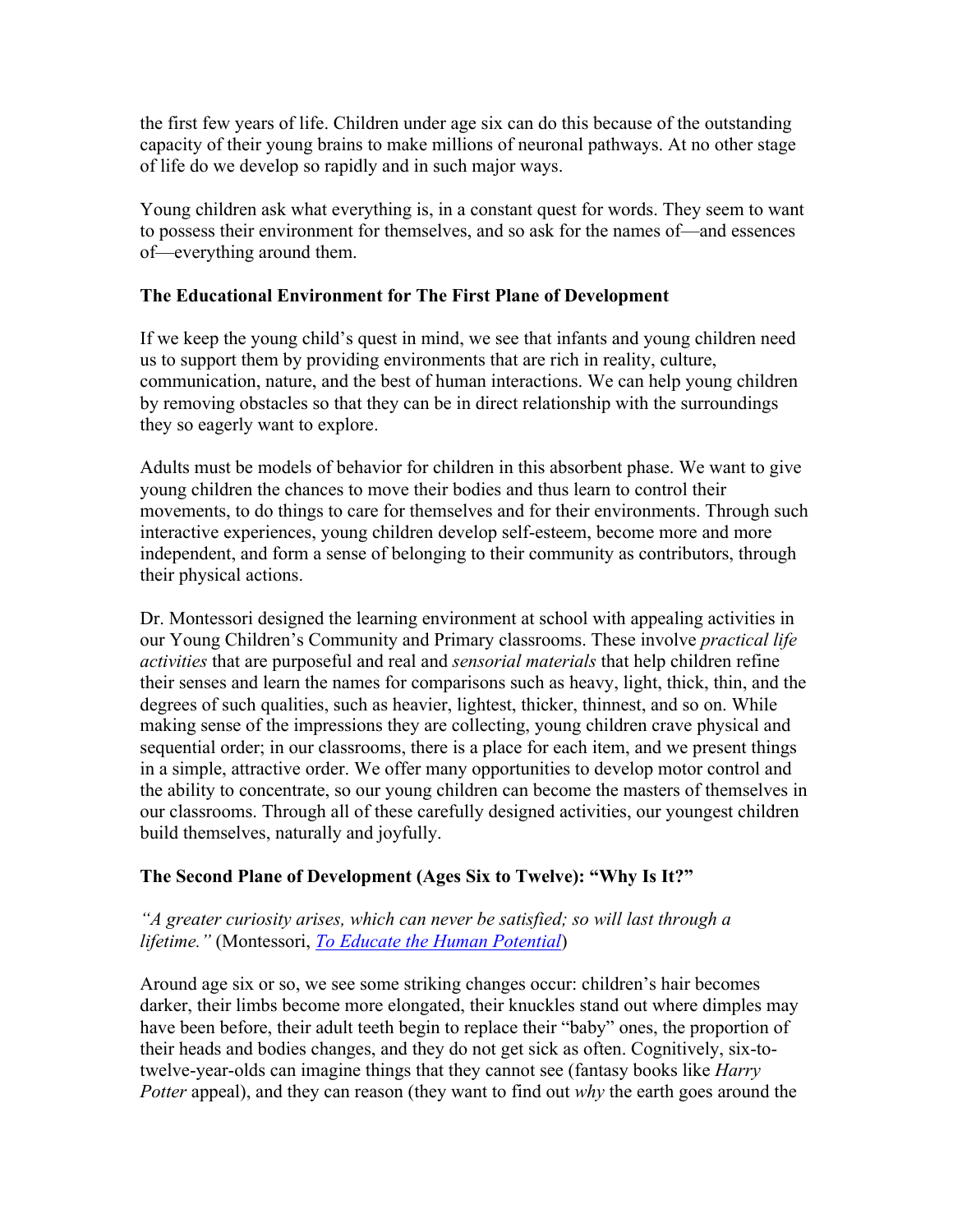the first few years of life. Children under age six can do this because of the outstanding capacity of their young brains to make millions of neuronal pathways. At no other stage of life do we develop so rapidly and in such major ways.

Young children ask what everything is, in a constant quest for words. They seem to want to possess their environment for themselves, and so ask for the names of—and essences of—everything around them.

## **The Educational Environment for The First Plane of Development**

If we keep the young child's quest in mind, we see that infants and young children need us to support them by providing environments that are rich in reality, culture, communication, nature, and the best of human interactions. We can help young children by removing obstacles so that they can be in direct relationship with the surroundings they so eagerly want to explore.

Adults must be models of behavior for children in this absorbent phase. We want to give young children the chances to move their bodies and thus learn to control their movements, to do things to care for themselves and for their environments. Through such interactive experiences, young children develop self-esteem, become more and more independent, and form a sense of belonging to their community as contributors, through their physical actions.

Dr. Montessori designed the learning environment at school with appealing activities in our Young Children's Community and Primary classrooms. These involve *practical life activities* that are purposeful and real and *sensorial materials* that help children refine their senses and learn the names for comparisons such as heavy, light, thick, thin, and the degrees of such qualities, such as heavier, lightest, thicker, thinnest, and so on. While making sense of the impressions they are collecting, young children crave physical and sequential order; in our classrooms, there is a place for each item, and we present things in a simple, attractive order. We offer many opportunities to develop motor control and the ability to concentrate, so our young children can become the masters of themselves in our classrooms. Through all of these carefully designed activities, our youngest children build themselves, naturally and joyfully.

## **The Second Plane of Development (Ages Six to Twelve): "Why Is It?"**

## *"A greater curiosity arises, which can never be satisfied; so will last through a lifetime."* (Montessori, *To Educate the Human Potential*)

Around age six or so, we see some striking changes occur: children's hair becomes darker, their limbs become more elongated, their knuckles stand out where dimples may have been before, their adult teeth begin to replace their "baby" ones, the proportion of their heads and bodies changes, and they do not get sick as often. Cognitively, six-totwelve-year-olds can imagine things that they cannot see (fantasy books like *Harry Potter* appeal), and they can reason (they want to find out *why* the earth goes around the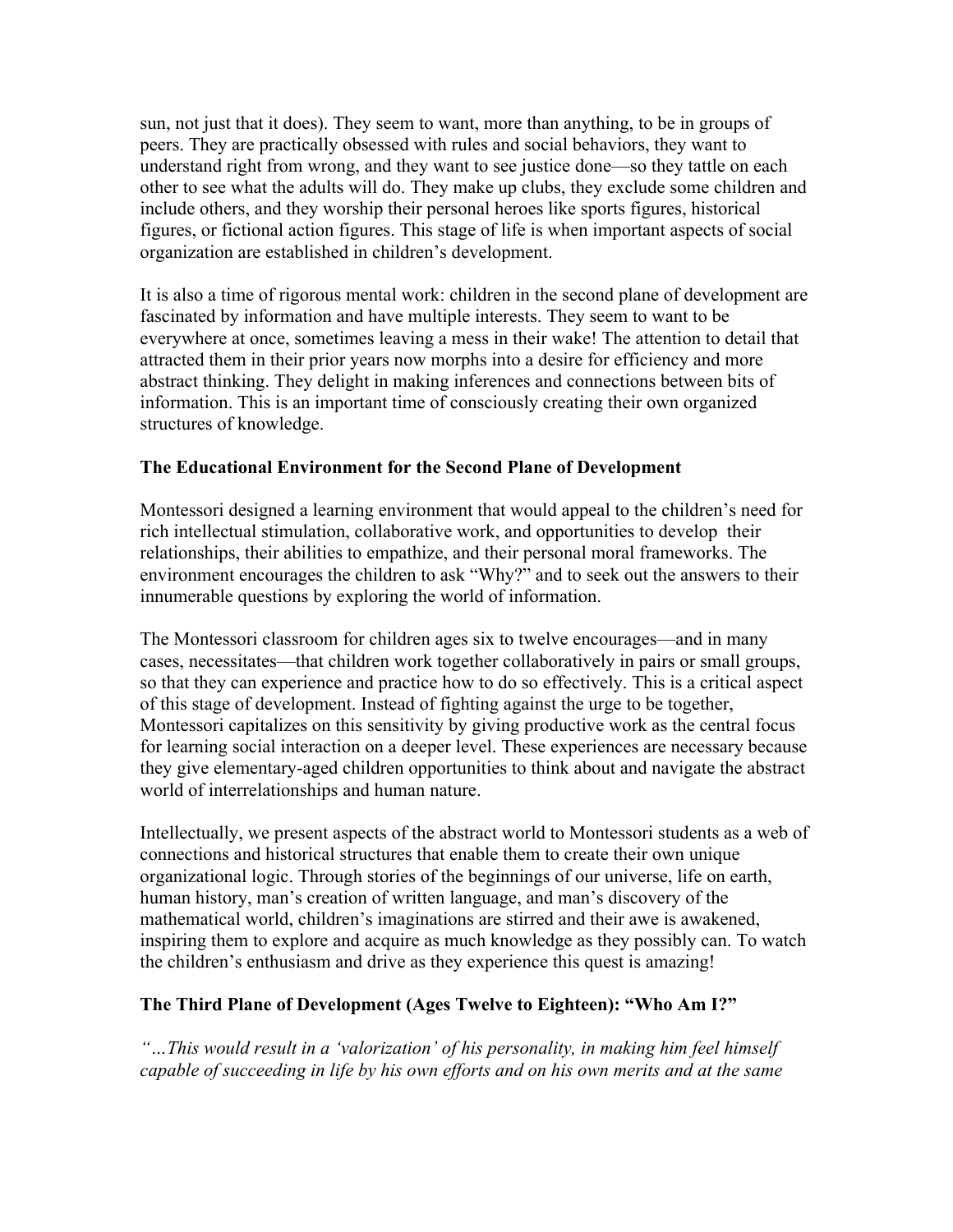sun, not just that it does). They seem to want, more than anything, to be in groups of peers. They are practically obsessed with rules and social behaviors, they want to understand right from wrong, and they want to see justice done—so they tattle on each other to see what the adults will do. They make up clubs, they exclude some children and include others, and they worship their personal heroes like sports figures, historical figures, or fictional action figures. This stage of life is when important aspects of social organization are established in children's development.

It is also a time of rigorous mental work: children in the second plane of development are fascinated by information and have multiple interests. They seem to want to be everywhere at once, sometimes leaving a mess in their wake! The attention to detail that attracted them in their prior years now morphs into a desire for efficiency and more abstract thinking. They delight in making inferences and connections between bits of information. This is an important time of consciously creating their own organized structures of knowledge.

### **The Educational Environment for the Second Plane of Development**

Montessori designed a learning environment that would appeal to the children's need for rich intellectual stimulation, collaborative work, and opportunities to develop their relationships, their abilities to empathize, and their personal moral frameworks. The environment encourages the children to ask "Why?" and to seek out the answers to their innumerable questions by exploring the world of information.

The Montessori classroom for children ages six to twelve encourages—and in many cases, necessitates—that children work together collaboratively in pairs or small groups, so that they can experience and practice how to do so effectively. This is a critical aspect of this stage of development. Instead of fighting against the urge to be together, Montessori capitalizes on this sensitivity by giving productive work as the central focus for learning social interaction on a deeper level. These experiences are necessary because they give elementary-aged children opportunities to think about and navigate the abstract world of interrelationships and human nature.

Intellectually, we present aspects of the abstract world to Montessori students as a web of connections and historical structures that enable them to create their own unique organizational logic. Through stories of the beginnings of our universe, life on earth, human history, man's creation of written language, and man's discovery of the mathematical world, children's imaginations are stirred and their awe is awakened, inspiring them to explore and acquire as much knowledge as they possibly can. To watch the children's enthusiasm and drive as they experience this quest is amazing!

#### **The Third Plane of Development (Ages Twelve to Eighteen): "Who Am I?"**

*"…This would result in a 'valorization' of his personality, in making him feel himself capable of succeeding in life by his own efforts and on his own merits and at the same*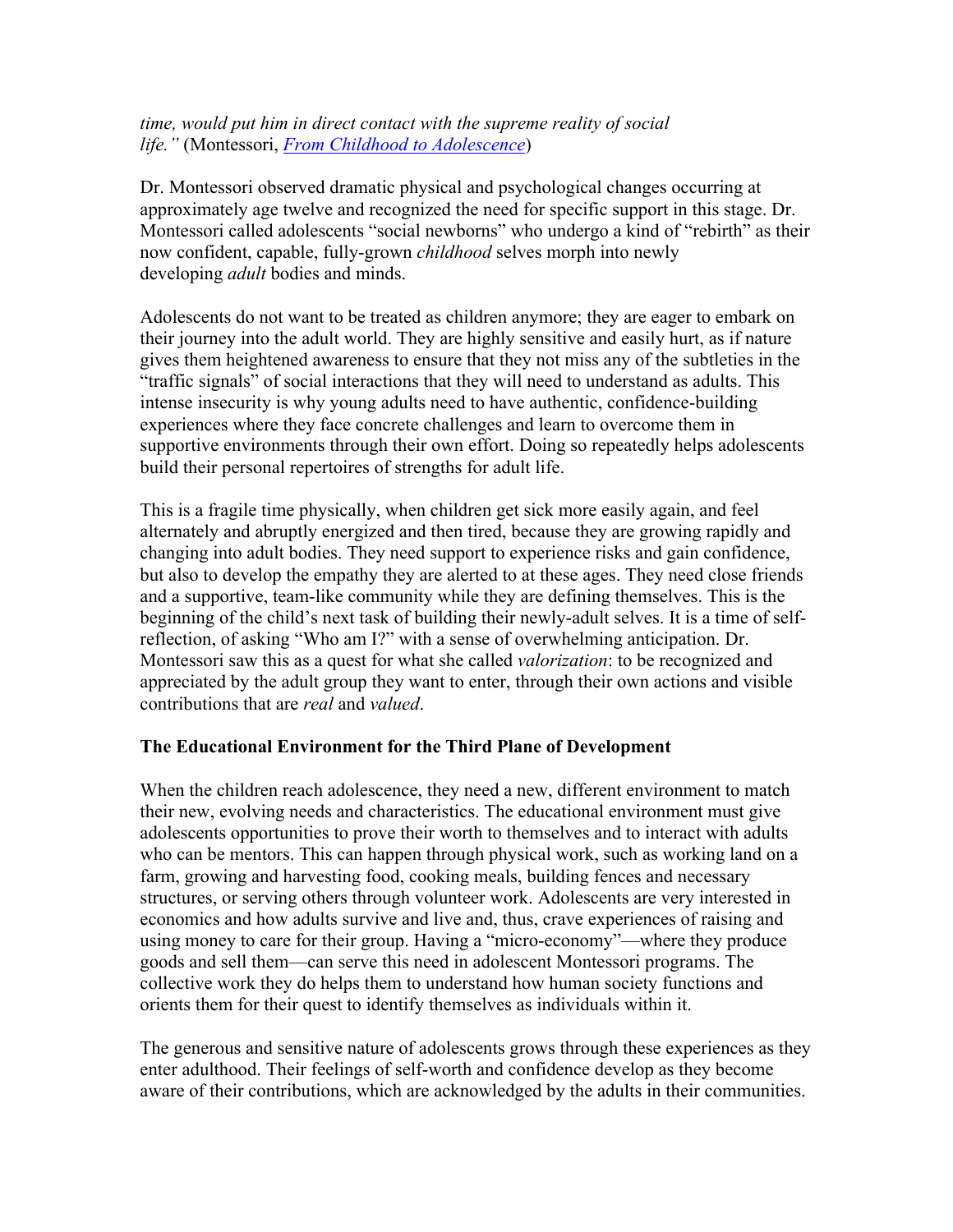*time, would put him in direct contact with the supreme reality of social life."* (Montessori, *From Childhood to Adolescence*)

Dr. Montessori observed dramatic physical and psychological changes occurring at approximately age twelve and recognized the need for specific support in this stage. Dr. Montessori called adolescents "social newborns" who undergo a kind of "rebirth" as their now confident, capable, fully-grown *childhood* selves morph into newly developing *adult* bodies and minds.

Adolescents do not want to be treated as children anymore; they are eager to embark on their journey into the adult world. They are highly sensitive and easily hurt, as if nature gives them heightened awareness to ensure that they not miss any of the subtleties in the "traffic signals" of social interactions that they will need to understand as adults. This intense insecurity is why young adults need to have authentic, confidence-building experiences where they face concrete challenges and learn to overcome them in supportive environments through their own effort. Doing so repeatedly helps adolescents build their personal repertoires of strengths for adult life.

This is a fragile time physically, when children get sick more easily again, and feel alternately and abruptly energized and then tired, because they are growing rapidly and changing into adult bodies. They need support to experience risks and gain confidence, but also to develop the empathy they are alerted to at these ages. They need close friends and a supportive, team-like community while they are defining themselves. This is the beginning of the child's next task of building their newly-adult selves. It is a time of selfreflection, of asking "Who am I?" with a sense of overwhelming anticipation. Dr. Montessori saw this as a quest for what she called *valorization*: to be recognized and appreciated by the adult group they want to enter, through their own actions and visible contributions that are *real* and *valued*.

## **The Educational Environment for the Third Plane of Development**

When the children reach adolescence, they need a new, different environment to match their new, evolving needs and characteristics. The educational environment must give adolescents opportunities to prove their worth to themselves and to interact with adults who can be mentors. This can happen through physical work, such as working land on a farm, growing and harvesting food, cooking meals, building fences and necessary structures, or serving others through volunteer work. Adolescents are very interested in economics and how adults survive and live and, thus, crave experiences of raising and using money to care for their group. Having a "micro-economy"—where they produce goods and sell them—can serve this need in adolescent Montessori programs. The collective work they do helps them to understand how human society functions and orients them for their quest to identify themselves as individuals within it.

The generous and sensitive nature of adolescents grows through these experiences as they enter adulthood. Their feelings of self-worth and confidence develop as they become aware of their contributions, which are acknowledged by the adults in their communities.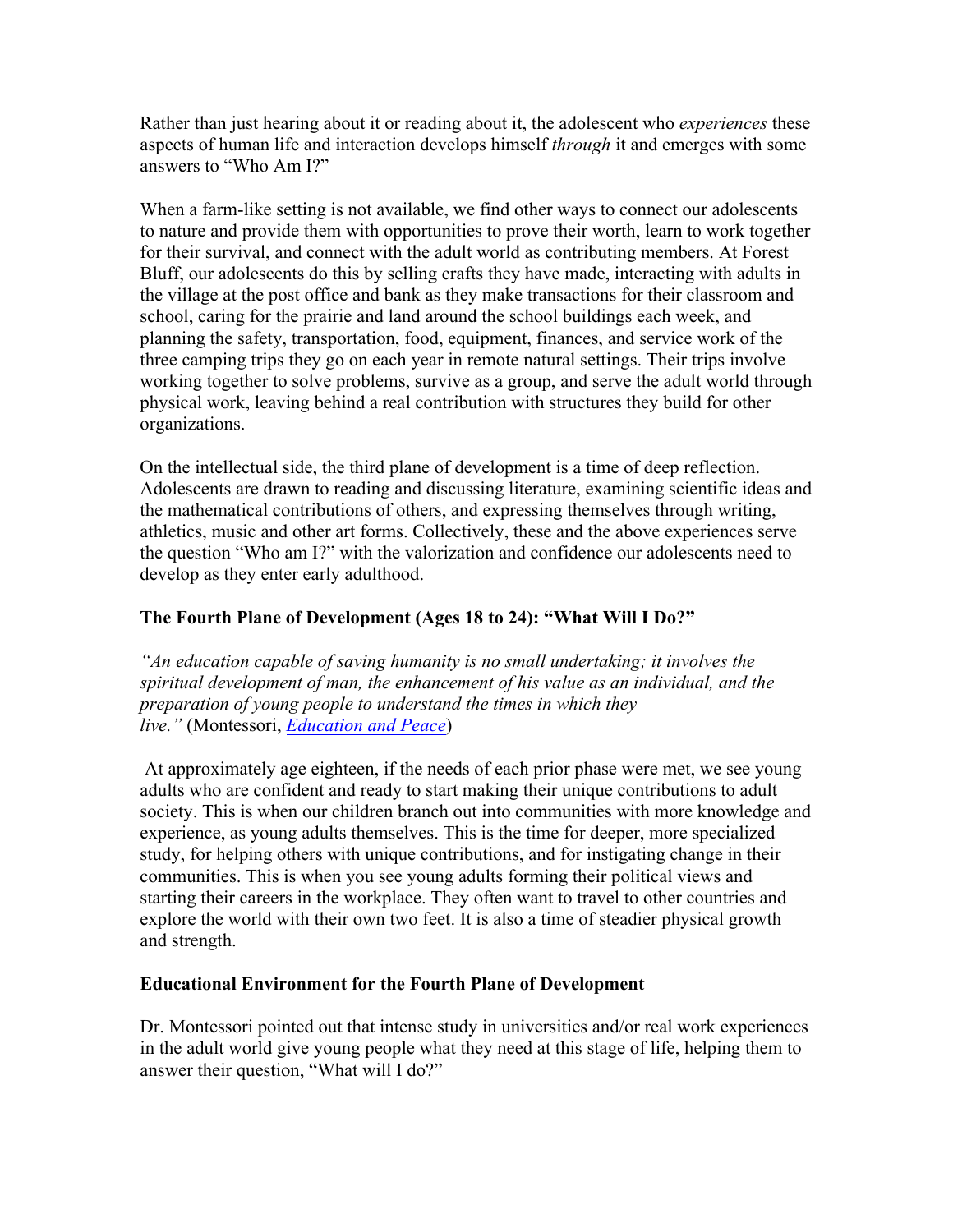Rather than just hearing about it or reading about it, the adolescent who *experiences* these aspects of human life and interaction develops himself *through* it and emerges with some answers to "Who Am I?"

When a farm-like setting is not available, we find other ways to connect our adolescents to nature and provide them with opportunities to prove their worth, learn to work together for their survival, and connect with the adult world as contributing members. At Forest Bluff, our adolescents do this by selling crafts they have made, interacting with adults in the village at the post office and bank as they make transactions for their classroom and school, caring for the prairie and land around the school buildings each week, and planning the safety, transportation, food, equipment, finances, and service work of the three camping trips they go on each year in remote natural settings. Their trips involve working together to solve problems, survive as a group, and serve the adult world through physical work, leaving behind a real contribution with structures they build for other organizations.

On the intellectual side, the third plane of development is a time of deep reflection. Adolescents are drawn to reading and discussing literature, examining scientific ideas and the mathematical contributions of others, and expressing themselves through writing, athletics, music and other art forms. Collectively, these and the above experiences serve the question "Who am I?" with the valorization and confidence our adolescents need to develop as they enter early adulthood.

## **The Fourth Plane of Development (Ages 18 to 24): "What Will I Do?"**

*"An education capable of saving humanity is no small undertaking; it involves the spiritual development of man, the enhancement of his value as an individual, and the preparation of young people to understand the times in which they live."* (Montessori, *Education and Peace*)

At approximately age eighteen, if the needs of each prior phase were met, we see young adults who are confident and ready to start making their unique contributions to adult society. This is when our children branch out into communities with more knowledge and experience, as young adults themselves. This is the time for deeper, more specialized study, for helping others with unique contributions, and for instigating change in their communities. This is when you see young adults forming their political views and starting their careers in the workplace. They often want to travel to other countries and explore the world with their own two feet. It is also a time of steadier physical growth and strength.

## **Educational Environment for the Fourth Plane of Development**

Dr. Montessori pointed out that intense study in universities and/or real work experiences in the adult world give young people what they need at this stage of life, helping them to answer their question, "What will I do?"